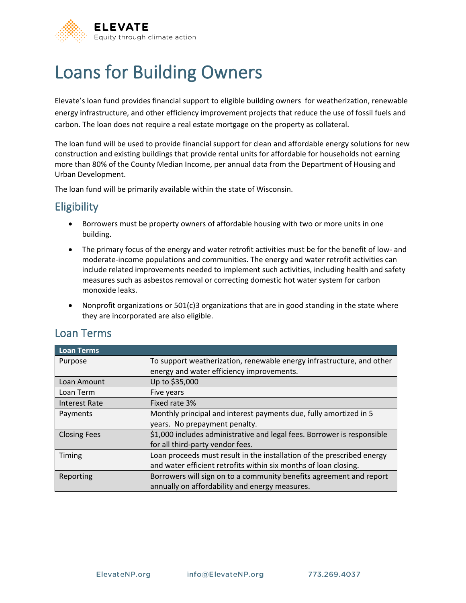

# Loans for Building Owners

Elevate's loan fund provides financial support to eligible building owners for weatherization, renewable energy infrastructure, and other efficiency improvement projects that reduce the use of fossil fuels and carbon. The loan does not require a real estate mortgage on the property as collateral.

The loan fund will be used to provide financial support for clean and affordable energy solutions for new construction and existing buildings that provide rental units for affordable for households not earning more than 80% of the County Median Income, per annual data from the Department of Housing and Urban Development.

The loan fund will be primarily available within the state of Wisconsin.

## **Eligibility**

- Borrowers must be property owners of affordable housing with two or more units in one building.
- The primary focus of the energy and water retrofit activities must be for the benefit of low- and moderate-income populations and communities. The energy and water retrofit activities can include related improvements needed to implement such activities, including health and safety measures such as asbestos removal or correcting domestic hot water system for carbon monoxide leaks.
- Nonprofit organizations or 501(c)3 organizations that are in good standing in the state where they are incorporated are also eligible.

#### Loan Terms

| <b>Loan Terms</b>   |                                                                         |
|---------------------|-------------------------------------------------------------------------|
| Purpose             | To support weatherization, renewable energy infrastructure, and other   |
|                     | energy and water efficiency improvements.                               |
| Loan Amount         | Up to \$35,000                                                          |
| Loan Term           | Five years                                                              |
| Interest Rate       | Fixed rate 3%                                                           |
| Payments            | Monthly principal and interest payments due, fully amortized in 5       |
|                     | years. No prepayment penalty.                                           |
| <b>Closing Fees</b> | \$1,000 includes administrative and legal fees. Borrower is responsible |
|                     | for all third-party vendor fees.                                        |
| Timing              | Loan proceeds must result in the installation of the prescribed energy  |
|                     | and water efficient retrofits within six months of loan closing.        |
| Reporting           | Borrowers will sign on to a community benefits agreement and report     |
|                     | annually on affordability and energy measures.                          |